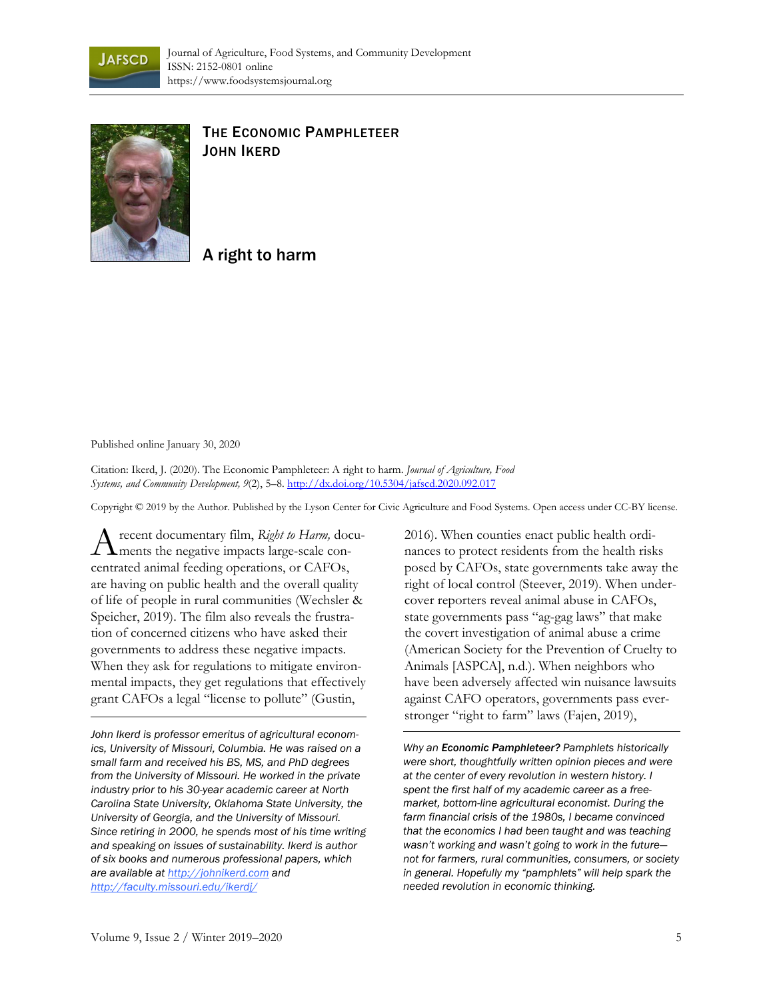



## THE ECONOMIC PAMPHLETEER JOHN IKERD

## A right to harm

Published online January 30, 2020

Citation: Ikerd, J. (2020). The Economic Pamphleteer: A right to harm. *Journal of Agriculture, Food Systems, and Community Development, 9*(2), 5–8. http://dx.doi.org/10.5304/jafscd.2020.092.017

Copyright © 2019 by the Author. Published by the Lyson Center for Civic Agriculture and Food Systems. Open access under CC-BY license.

recent documentary film, *Right to Harm,* docu-A recent documentary film, Right to Harm, does<br>ments the negative impacts large-scale concentrated animal feeding operations, or CAFOs, are having on public health and the overall quality of life of people in rural communities (Wechsler & Speicher, 2019). The film also reveals the frustration of concerned citizens who have asked their governments to address these negative impacts. When they ask for regulations to mitigate environmental impacts, they get regulations that effectively grant CAFOs a legal "license to pollute" (Gustin,

*John Ikerd is professor emeritus of agricultural economics, University of Missouri, Columbia. He was raised on a small farm and received his BS, MS, and PhD degrees from the University of Missouri. He worked in the private industry prior to his 30-year academic career at North Carolina State University, Oklahoma State University, the University of Georgia, and the University of Missouri. Since retiring in 2000, he spends most of his time writing and speaking on issues of sustainability. Ikerd is author of six books and numerous professional papers, which are available at http://johnikerd.com and http://faculty.missouri.edu/ikerdj/*

2016). When counties enact public health ordinances to protect residents from the health risks posed by CAFOs, state governments take away the right of local control (Steever, 2019). When undercover reporters reveal animal abuse in CAFOs, state governments pass "ag-gag laws" that make the covert investigation of animal abuse a crime (American Society for the Prevention of Cruelty to Animals [ASPCA], n.d.). When neighbors who have been adversely affected win nuisance lawsuits against CAFO operators, governments pass everstronger "right to farm" laws (Fajen, 2019),

*Why an Economic Pamphleteer? Pamphlets historically were short, thoughtfully written opinion pieces and were at the center of every revolution in western history. I spent the first half of my academic career as a freemarket, bottom-line agricultural economist. During the farm financial crisis of the 1980s, I became convinced that the economics I had been taught and was teaching wasn't working and wasn't going to work in the future not for farmers, rural communities, consumers, or society in general. Hopefully my "pamphlets" will help spark the needed revolution in economic thinking.*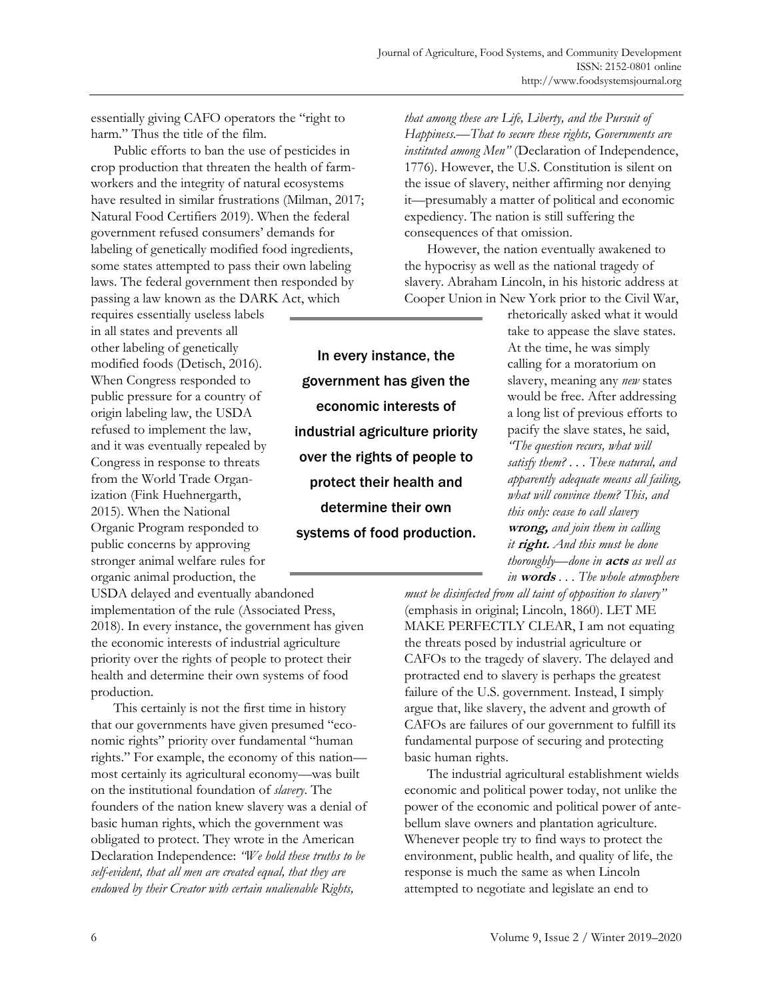essentially giving CAFO operators the "right to harm." Thus the title of the film.

 Public efforts to ban the use of pesticides in crop production that threaten the health of farmworkers and the integrity of natural ecosystems have resulted in similar frustrations (Milman, 2017; Natural Food Certifiers 2019). When the federal government refused consumers' demands for labeling of genetically modified food ingredients, some states attempted to pass their own labeling laws. The federal government then responded by passing a law known as the DARK Act, which

requires essentially useless labels in all states and prevents all other labeling of genetically modified foods (Detisch, 2016). When Congress responded to public pressure for a country of origin labeling law, the USDA refused to implement the law, and it was eventually repealed by Congress in response to threats from the World Trade Organization (Fink Huehnergarth, 2015). When the National Organic Program responded to public concerns by approving stronger animal welfare rules for organic animal production, the

USDA delayed and eventually abandoned implementation of the rule (Associated Press, 2018). In every instance, the government has given the economic interests of industrial agriculture priority over the rights of people to protect their health and determine their own systems of food production.

 This certainly is not the first time in history that our governments have given presumed "economic rights" priority over fundamental "human rights." For example, the economy of this nation most certainly its agricultural economy—was built on the institutional foundation of *slavery*. The founders of the nation knew slavery was a denial of basic human rights, which the government was obligated to protect. They wrote in the American Declaration Independence: *"We hold these truths to be self-evident, that all men are created equal, that they are endowed by their Creator with certain unalienable Rights,* 

In every instance, the government has given the economic interests of industrial agriculture priority over the rights of people to protect their health and determine their own systems of food production.

*that among these are Life, Liberty, and the Pursuit of Happiness.—That to secure these rights, Governments are instituted among Men"* (Declaration of Independence, 1776). However, the U.S. Constitution is silent on the issue of slavery, neither affirming nor denying it—presumably a matter of political and economic expediency. The nation is still suffering the consequences of that omission.

 However, the nation eventually awakened to the hypocrisy as well as the national tragedy of slavery. Abraham Lincoln, in his historic address at Cooper Union in New York prior to the Civil War,

> rhetorically asked what it would take to appease the slave states. At the time, he was simply calling for a moratorium on slavery, meaning any *new* states would be free. After addressing a long list of previous efforts to pacify the slave states, he said, *"The question recurs, what will satisfy them? . . . These natural, and apparently adequate means all failing, what will convince them? This, and this only: cease to call slavery*  **wrong,** *and join them in calling it* **right.** *And this must be done thoroughly—done in* **acts** *as well as in* **words** *. . . The whole atmosphere*

*must be disinfected from all taint of opposition to slavery"* (emphasis in original; Lincoln, 1860). LET ME MAKE PERFECTLY CLEAR, I am not equating the threats posed by industrial agriculture or CAFOs to the tragedy of slavery. The delayed and protracted end to slavery is perhaps the greatest failure of the U.S. government. Instead, I simply argue that, like slavery, the advent and growth of CAFOs are failures of our government to fulfill its fundamental purpose of securing and protecting basic human rights.

 The industrial agricultural establishment wields economic and political power today, not unlike the power of the economic and political power of antebellum slave owners and plantation agriculture. Whenever people try to find ways to protect the environment, public health, and quality of life, the response is much the same as when Lincoln attempted to negotiate and legislate an end to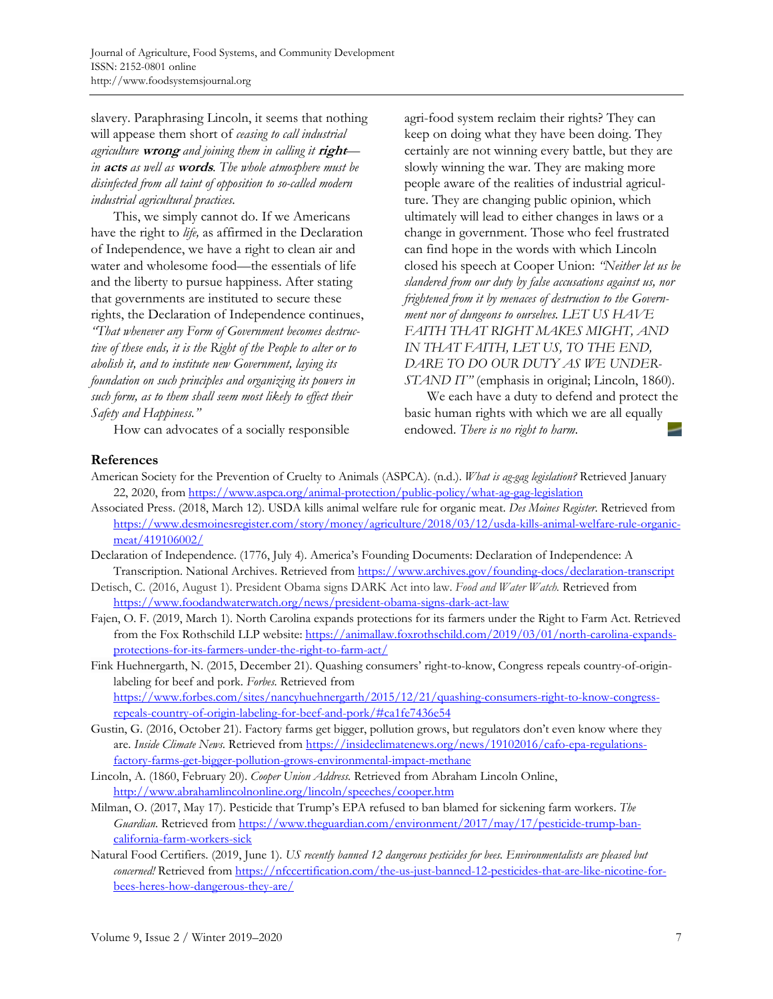slavery. Paraphrasing Lincoln, it seems that nothing will appease them short of *ceasing to call industrial agriculture* **wrong** *and joining them in calling it* **right** *in* **acts** *as well as* **words**. *The whole atmosphere must be disinfected from all taint of opposition to so-called modern industrial agricultural practices.*

 This, we simply cannot do. If we Americans have the right to *life,* as affirmed in the Declaration of Independence, we have a right to clean air and water and wholesome food—the essentials of life and the liberty to pursue happiness. After stating that governments are instituted to secure these rights, the Declaration of Independence continues, *"That whenever any Form of Government becomes destructive of these ends, it is the Right of the People to alter or to abolish it, and to institute new Government, laying its foundation on such principles and organizing its powers in such form, as to them shall seem most likely to effect their Safety and Happiness."*

How can advocates of a socially responsible

agri-food system reclaim their rights? They can keep on doing what they have been doing. They certainly are not winning every battle, but they are slowly winning the war. They are making more people aware of the realities of industrial agriculture. They are changing public opinion, which ultimately will lead to either changes in laws or a change in government. Those who feel frustrated can find hope in the words with which Lincoln closed his speech at Cooper Union: *"Neither let us be slandered from our duty by false accusations against us, nor frightened from it by menaces of destruction to the Government nor of dungeons to ourselves. LET US HAVE FAITH THAT RIGHT MAKES MIGHT, AND IN THAT FAITH, LET US, TO THE END, DARE TO DO OUR DUTY AS WE UNDER-STAND IT"* (emphasis in original; Lincoln, 1860).

 We each have a duty to defend and protect the basic human rights with which we are all equally endowed. *There is no right to harm*.

## **References**

- American Society for the Prevention of Cruelty to Animals (ASPCA). (n.d.). *What is ag-gag legislation?* Retrieved January 22, 2020, from https://www.aspca.org/animal-protection/public-policy/what-ag-gag-legislation
- Associated Press. (2018, March 12). USDA kills animal welfare rule for organic meat. *Des Moines Register*. Retrieved from https://www.desmoinesregister.com/story/money/agriculture/2018/03/12/usda-kills-animal-welfare-rule-organicmeat/419106002/
- Declaration of Independence. (1776, July 4). America's Founding Documents: Declaration of Independence: A Transcription. National Archives. Retrieved from https://www.archives.gov/founding-docs/declaration-transcript
- Detisch, C. (2016, August 1). President Obama signs DARK Act into law. *Food and Water Watch.* Retrieved from https://www.foodandwaterwatch.org/news/president-obama-signs-dark-act-law
- Fajen, O. F. (2019, March 1). North Carolina expands protections for its farmers under the Right to Farm Act. Retrieved from the Fox Rothschild LLP website: https://animallaw.foxrothschild.com/2019/03/01/north-carolina-expandsprotections-for-its-farmers-under-the-right-to-farm-act/
- Fink Huehnergarth, N. (2015, December 21). Quashing consumers' right-to-know, Congress repeals country-of-originlabeling for beef and pork. *Forbes.* Retrieved from https://www.forbes.com/sites/nancyhuehnergarth/2015/12/21/quashing-consumers-right-to-know-congressrepeals-country-of-origin-labeling-for-beef-and-pork/#ca1fe7436e54
- Gustin, G. (2016, October 21). Factory farms get bigger, pollution grows, but regulators don't even know where they are. *Inside Climate News*. Retrieved from https://insideclimatenews.org/news/19102016/cafo-epa-regulationsfactory-farms-get-bigger-pollution-grows-environmental-impact-methane
- Lincoln, A. (1860, February 20). *Cooper Union Address.* Retrieved from Abraham Lincoln Online, http://www.abrahamlincolnonline.org/lincoln/speeches/cooper.htm
- Milman, O. (2017, May 17). Pesticide that Trump's EPA refused to ban blamed for sickening farm workers. *The Guardian.* Retrieved from https://www.theguardian.com/environment/2017/may/17/pesticide-trump-bancalifornia-farm-workers-sick
- Natural Food Certifiers. (2019, June 1). *US recently banned 12 dangerous pesticides for bees. Environmentalists are pleased but concerned!* Retrieved from https://nfccertification.com/the-us-just-banned-12-pesticides-that-are-like-nicotine-forbees-heres-how-dangerous-they-are/